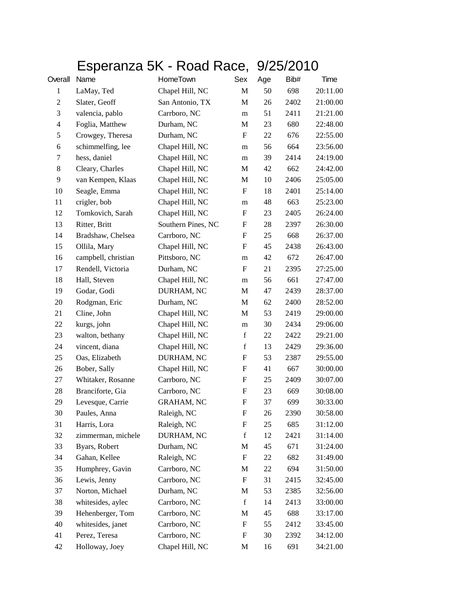## Esperanza 5K - Road Race, 9/25/2010

| Overall        | Name                | HomeTown           | Sex                       | Age | Bib# | Time     |
|----------------|---------------------|--------------------|---------------------------|-----|------|----------|
| $\mathbf{1}$   | LaMay, Ted          | Chapel Hill, NC    | M                         | 50  | 698  | 20:11.00 |
| $\overline{2}$ | Slater, Geoff       | San Antonio, TX    | M                         | 26  | 2402 | 21:00.00 |
| 3              | valencia, pablo     | Carrboro, NC       | m                         | 51  | 2411 | 21:21.00 |
| 4              | Foglia, Matthew     | Durham, NC         | M                         | 23  | 680  | 22:48.00 |
| 5              | Crowgey, Theresa    | Durham, NC         | $\boldsymbol{\mathrm{F}}$ | 22  | 676  | 22:55.00 |
| 6              | schimmelfing, lee   | Chapel Hill, NC    | m                         | 56  | 664  | 23:56.00 |
| 7              | hess, daniel        | Chapel Hill, NC    | m                         | 39  | 2414 | 24:19.00 |
| $\,8\,$        | Cleary, Charles     | Chapel Hill, NC    | M                         | 42  | 662  | 24:42.00 |
| 9              | van Kempen, Klaas   | Chapel Hill, NC    | M                         | 10  | 2406 | 25:05.00 |
| 10             | Seagle, Emma        | Chapel Hill, NC    | $\boldsymbol{\mathrm{F}}$ | 18  | 2401 | 25:14.00 |
| 11             | crigler, bob        | Chapel Hill, NC    | m                         | 48  | 663  | 25:23.00 |
| 12             | Tomkovich, Sarah    | Chapel Hill, NC    | $\boldsymbol{\mathrm{F}}$ | 23  | 2405 | 26:24.00 |
| 13             | Ritter, Britt       | Southern Pines, NC | F                         | 28  | 2397 | 26:30.00 |
| 14             | Bradshaw, Chelsea   | Carrboro, NC       | F                         | 25  | 668  | 26:37.00 |
| 15             | Ollila, Mary        | Chapel Hill, NC    | $\boldsymbol{\mathrm{F}}$ | 45  | 2438 | 26:43.00 |
| 16             | campbell, christian | Pittsboro, NC      | m                         | 42  | 672  | 26:47.00 |
| 17             | Rendell, Victoria   | Durham, NC         | $\boldsymbol{\mathrm{F}}$ | 21  | 2395 | 27:25.00 |
| 18             | Hall, Steven        | Chapel Hill, NC    | m                         | 56  | 661  | 27:47.00 |
| 19             | Godar, Godi         | DURHAM, NC         | M                         | 47  | 2439 | 28:37.00 |
| 20             | Rodgman, Eric       | Durham, NC         | M                         | 62  | 2400 | 28:52.00 |
| 21             | Cline, John         | Chapel Hill, NC    | M                         | 53  | 2419 | 29:00.00 |
| 22             | kurgs, john         | Chapel Hill, NC    | m                         | 30  | 2434 | 29:06.00 |
| 23             | walton, bethany     | Chapel Hill, NC    | $\mathbf f$               | 22  | 2422 | 29:21.00 |
| 24             | vincent, diana      | Chapel Hill, NC    | $\mathbf f$               | 13  | 2429 | 29:36.00 |
| 25             | Oas, Elizabeth      | DURHAM, NC         | $\boldsymbol{\mathrm{F}}$ | 53  | 2387 | 29:55.00 |
| 26             | Bober, Sally        | Chapel Hill, NC    | F                         | 41  | 667  | 30:00.00 |
| 27             | Whitaker, Rosanne   | Carrboro, NC       | $\boldsymbol{\mathrm{F}}$ | 25  | 2409 | 30:07.00 |
| 28             | Branciforte, Gia    | Carrboro, NC       | F                         | 23  | 669  | 30:08.00 |
| 29             | Levesque, Carrie    | <b>GRAHAM, NC</b>  | F                         | 37  | 699  | 30:33.00 |
| 30             | Paules, Anna        | Raleigh, NC        | $\boldsymbol{\mathrm{F}}$ | 26  | 2390 | 30:58.00 |
| 31             | Harris, Lora        | Raleigh, NC        | F                         | 25  | 685  | 31:12.00 |
| 32             | zimmerman, michele  | DURHAM, NC         | $\mathbf f$               | 12  | 2421 | 31:14.00 |
| 33             | Byars, Robert       | Durham, NC         | M                         | 45  | 671  | 31:24.00 |
| 34             | Gahan, Kellee       | Raleigh, NC        | $\boldsymbol{F}$          | 22  | 682  | 31:49.00 |
| 35             | Humphrey, Gavin     | Carrboro, NC       | M                         | 22  | 694  | 31:50.00 |
| 36             | Lewis, Jenny        | Carrboro, NC       | $\boldsymbol{F}$          | 31  | 2415 | 32:45.00 |
| 37             | Norton, Michael     | Durham, NC         | M                         | 53  | 2385 | 32:56.00 |
| 38             | whitesides, aylec   | Carrboro, NC       | $\mathbf f$               | 14  | 2413 | 33:00.00 |
| 39             | Hehenberger, Tom    | Carrboro, NC       | M                         | 45  | 688  | 33:17.00 |
| 40             | whitesides, janet   | Carrboro, NC       | F                         | 55  | 2412 | 33:45.00 |
| 41             | Perez, Teresa       | Carrboro, NC       | $\boldsymbol{F}$          | 30  | 2392 | 34:12.00 |
| 42             | Holloway, Joey      | Chapel Hill, NC    | M                         | 16  | 691  | 34:21.00 |